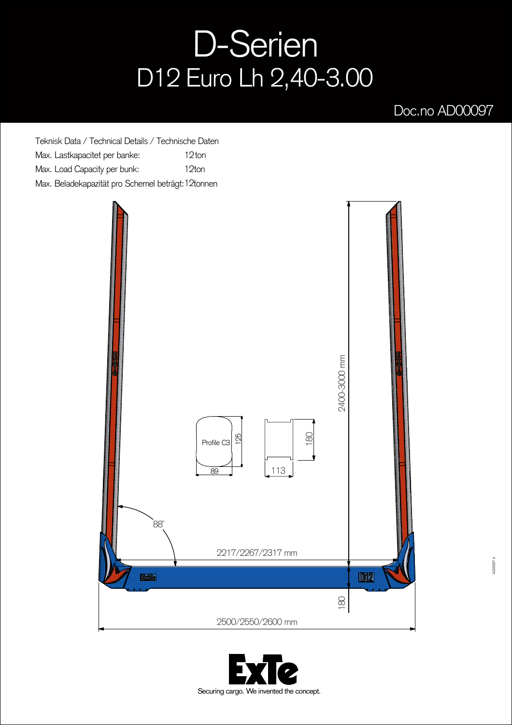## D-Serien D12 Euro Lh 2,40-3.00

## Doc.no AD00097

Teknisk Data / Technical Details / Technische Daten Max. Lastkapacitet per banke: Max. Load Capacity per bunk: Max. Beladekapazität pro Schemel beträgt: 12tonnen 12ton 12ton



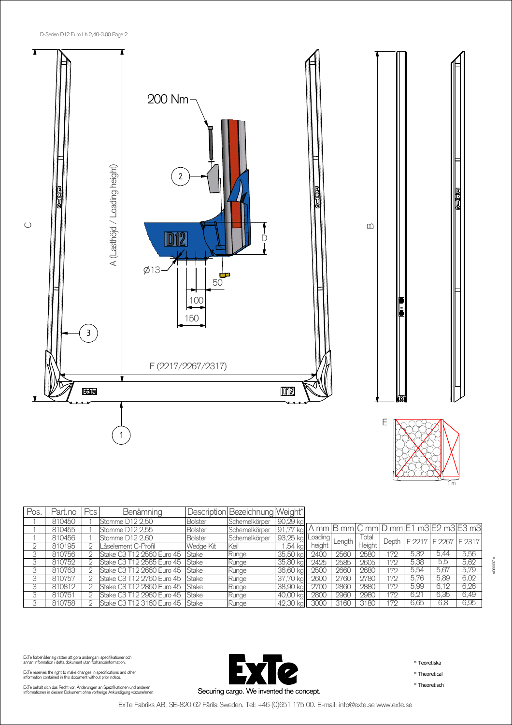

| Pos. | Part.no | Pcs | Benämning                          |                | Description Bezeichnung Weight* |             |         |        |        |       |        |                                       |        |
|------|---------|-----|------------------------------------|----------------|---------------------------------|-------------|---------|--------|--------|-------|--------|---------------------------------------|--------|
|      | 810450  |     | Stomme D12 2.50                    | <b>Bolster</b> | Schemelkörper                   | 90,29 kg    |         |        |        |       |        |                                       |        |
|      | 810455  |     | Stomme D12 2.55                    | <b>Bolster</b> | Schemelkörper                   | 91.77<br>ka |         |        |        |       |        | A mm B mm C mm D mm E1 m3 E2 m3 E3 m3 |        |
|      | 810456  |     | Stomme D12 2.60                    | Bolster        | Schemelkörper                   | 93,25 kg    | Loading | Length | l otal | Depth | F 2217 | F 2267                                | F 2317 |
|      | 810195  |     | Låselement C-Profil                | Wedge Kit      | Keil                            | .54 ka      | height  |        | Height |       |        |                                       |        |
|      | 810756  |     | lStake C3 T12 2560 Euro 45         | Stake          | Runge                           | 35,50 kg    | 2400    | 2560   | 2580   | 72    | 5,32   | 5,44                                  | 5,56   |
|      | 810752  |     | Stake C3 T12 2585 Euro 45   Stake  |                | Runge                           | 35,80 kg    | 2425    | 2585   | 2605   | 72    | 5.38   | 5,5                                   | 5,62   |
|      | 810763  |     | Stake C3 T12 2660 Euro 45 Stake    |                | Runge                           | 36,60 kg    | 2500    | 2660   | 2680   | 72    | 5.54   | 5,67                                  | 5.79   |
|      | 810757  | C)  | lStake C3 T12 2760 Euro 45   Stake |                | Runge                           | 37,70 kal   | 2600    | 2760   | 2780   | 72    | 5.76   | 5,89                                  | 6,02   |
|      | 810812  |     | Stake C3 T12 2860 Euro 45 Stake    |                | Runge                           | 38,90 kg    | 2700    | 2860   | 2880   | 72    | 5.99   | 6.12                                  | 6.26   |
|      | 810761  |     | Stake C3 T12 2960 Euro 45 Stake    |                | Runge                           | 40.00 ka    | 2800    | 2960   | 2980   | 72    | 6.21   | 6.35                                  | 6,49   |
|      | 810758  |     | Stake C3 T12 3160 Euro 45 Stake    |                | Runge                           | 42,30 kg    | 3000    | 3160   | 3180   | 72    | 6.65   | 6.8                                   | 6.95   |

ExTe förbehåller sig rätten att göra ändringar i specifikationer och<br>annan information i detta dokument utan förhandsinformation.

ExTe reserves the right to make changes in specifications and other information contained in this document without prior notice.

ExTe behält sich das Recht vor, Änderungen an Spezifikationen und anderen<br>Informationen in diesem Dokument ohne vorherige Ankündigung vorzunehmen.



\* Teoretiska

\* Theoretical

\* Theoretisch

ExTe Fabriks AB, SE-820 62 Färila Sweden. Tel: +46 (0)651 175 00. E-mail: info@exte.se www.exte.se

1 <sup>m</sup>